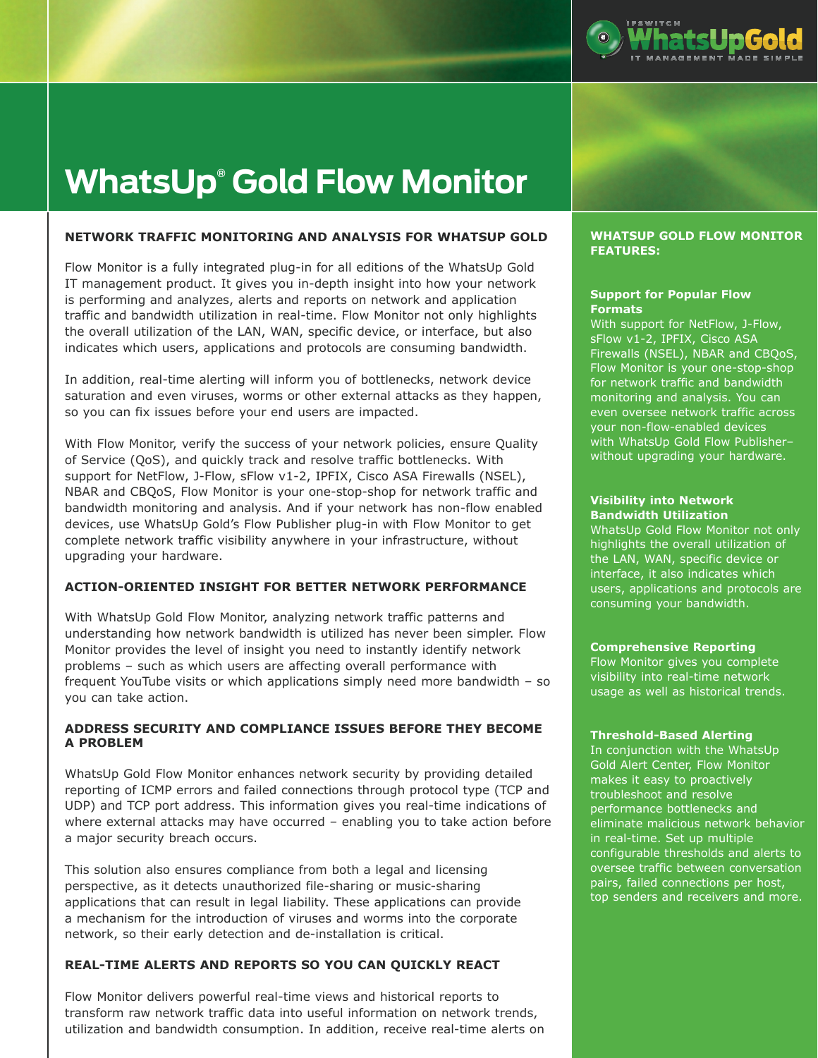

# **WhatsUp® Gold Flow Monitor**

## **NETWORK TRAFFIC MONITORING AND ANALYSIS FOR WHATSUP GOLD**

Flow Monitor is a fully integrated plug-in for all editions of the WhatsUp Gold IT management product. It gives you in-depth insight into how your network is performing and analyzes, alerts and reports on network and application traffic and bandwidth utilization in real-time. Flow Monitor not only highlights the overall utilization of the LAN, WAN, specific device, or interface, but also indicates which users, applications and protocols are consuming bandwidth.

In addition, real-time alerting will inform you of bottlenecks, network device saturation and even viruses, worms or other external attacks as they happen, so you can fix issues before your end users are impacted.

With Flow Monitor, verify the success of your network policies, ensure Quality of Service (QoS), and quickly track and resolve traffic bottlenecks. With support for NetFlow, J-Flow, sFlow v1-2, IPFIX, Cisco ASA Firewalls (NSEL), NBAR and CBQoS, Flow Monitor is your one-stop-shop for network traffic and bandwidth monitoring and analysis. And if your network has non-flow enabled devices, use WhatsUp Gold's Flow Publisher plug-in with Flow Monitor to get complete network traffic visibility anywhere in your infrastructure, without upgrading your hardware.

## **ACTION-ORIENTED INSIGHT FOR BETTER NETWORK PERFORMANCE**

With WhatsUp Gold Flow Monitor, analyzing network traffic patterns and understanding how network bandwidth is utilized has never been simpler. Flow Monitor provides the level of insight you need to instantly identify network problems – such as which users are affecting overall performance with frequent YouTube visits or which applications simply need more bandwidth – so you can take action.

# **ADDRESS SECURITY AND COMPLIANCE ISSUES BEFORE THEY BECOME A PROBLEM**

WhatsUp Gold Flow Monitor enhances network security by providing detailed reporting of ICMP errors and failed connections through protocol type (TCP and UDP) and TCP port address. This information gives you real-time indications of where external attacks may have occurred – enabling you to take action before a major security breach occurs.

This solution also ensures compliance from both a legal and licensing perspective, as it detects unauthorized file-sharing or music-sharing applications that can result in legal liability. These applications can provide a mechanism for the introduction of viruses and worms into the corporate network, so their early detection and de-installation is critical.

## **REAL-TIME ALERTS AND REPORTS SO YOU CAN QUICKLY REACT**

Flow Monitor delivers powerful real-time views and historical reports to transform raw network traffic data into useful information on network trends, utilization and bandwidth consumption. In addition, receive real-time alerts on

#### **WHATSUP GOLD FLOW MONITOR FEATURES:**

## **Support for Popular Flow Formats**

With support for NetFlow, J-Flow, sFlow v1-2, IPFIX, Cisco ASA Firewalls (NSEL), NBAR and CBQoS, Flow Monitor is your one-stop-shop for network traffic and bandwidth monitoring and analysis. You can even oversee network traffic across your non-flow-enabled devices with WhatsUp Gold Flow Publisher– without upgrading your hardware.

#### **Visibility into Network Bandwidth Utilization**

WhatsUp Gold Flow Monitor not only highlights the overall utilization of the LAN, WAN, specific device or interface, it also indicates which users, applications and protocols are consuming your bandwidth.

## **Comprehensive Reporting**

Flow Monitor gives you complete visibility into real-time network usage as well as historical trends.

#### **Threshold-Based Alerting**

In conjunction with the WhatsUp Gold Alert Center, Flow Monitor makes it easy to proactively troubleshoot and resolve performance bottlenecks and eliminate malicious network behavior in real-time. Set up multiple configurable thresholds and alerts to oversee traffic between conversation pairs, failed connections per host, top senders and receivers and more.